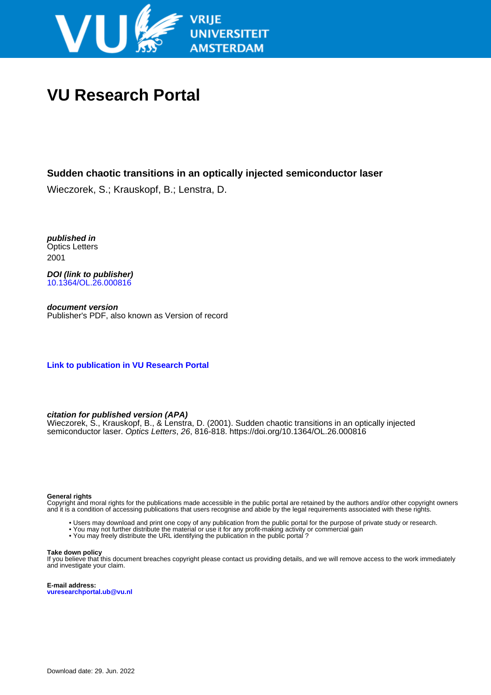

# **VU Research Portal**

### **Sudden chaotic transitions in an optically injected semiconductor laser**

Wieczorek, S.; Krauskopf, B.; Lenstra, D.

**published in** Optics Letters 2001

**DOI (link to publisher)** [10.1364/OL.26.000816](https://doi.org/10.1364/OL.26.000816)

**document version** Publisher's PDF, also known as Version of record

**[Link to publication in VU Research Portal](https://research.vu.nl/en/publications/bb0fae6e-dac6-47a5-a8ff-38c2aa04429f)**

#### **citation for published version (APA)**

Wieczorek, S., Krauskopf, B., & Lenstra, D. (2001). Sudden chaotic transitions in an optically injected semiconductor laser. Optics Letters, 26, 816-818.<https://doi.org/10.1364/OL.26.000816>

#### **General rights**

Copyright and moral rights for the publications made accessible in the public portal are retained by the authors and/or other copyright owners and it is a condition of accessing publications that users recognise and abide by the legal requirements associated with these rights.

- Users may download and print one copy of any publication from the public portal for the purpose of private study or research.
- You may not further distribute the material or use it for any profit-making activity or commercial gain
- You may freely distribute the URL identifying the publication in the public portal ?

#### **Take down policy**

If you believe that this document breaches copyright please contact us providing details, and we will remove access to the work immediately and investigate your claim.

**E-mail address: vuresearchportal.ub@vu.nl**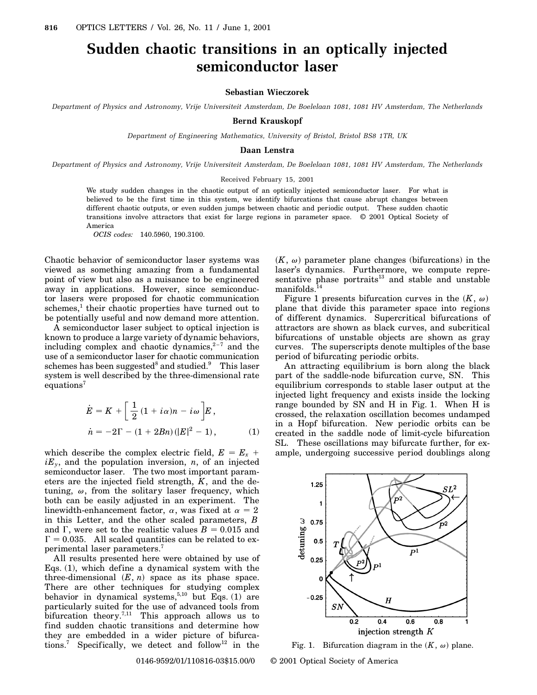## **Sudden chaotic transitions in an optically injected semiconductor laser**

**Sebastian Wieczorek**

*Department of Physics and Astronomy, Vrije Universiteit Amsterdam, De Boelelaan 1081, 1081 HV Amsterdam, The Netherlands*

**Bernd Krauskopf**

*Department of Engineering Mathematics, University of Bristol, Bristol BS8 1TR, UK*

**Daan Lenstra**

*Department of Physics and Astronomy, Vrije Universiteit Amsterdam, De Boelelaan 1081, 1081 HV Amsterdam, The Netherlands*

#### Received February 15, 2001

We study sudden changes in the chaotic output of an optically injected semiconductor laser. For what is believed to be the first time in this system, we identify bifurcations that cause abrupt changes between different chaotic outputs, or even sudden jumps between chaotic and periodic output. These sudden chaotic transitions involve attractors that exist for large regions in parameter space. © 2001 Optical Society of America

*OCIS codes:* 140.5960, 190.3100.

Chaotic behavior of semiconductor laser systems was viewed as something amazing from a fundamental point of view but also as a nuisance to be engineered away in applications. However, since semiconductor lasers were proposed for chaotic communication schemes,<sup>1</sup> their chaotic properties have turned out to be potentially useful and now demand more attention.

A semiconductor laser subject to optical injection is known to produce a large variety of dynamic behaviors, including complex and chaotic dynamics, $2^{-7}$  and the use of a semiconductor laser for chaotic communication schemes has been suggested<sup>8</sup> and studied.<sup>9</sup> This laser system is well described by the three-dimensional rate equations<sup>7</sup>

$$
\dot{E} = K + \left[\frac{1}{2}(1 + i\alpha)n - i\omega\right]E,
$$
  
\n
$$
\dot{n} = -2\Gamma - (1 + 2Bn)(|E|^2 - 1),
$$
\n(1)

which describe the complex electric field,  $E = E_x + E_y$  $iE<sub>y</sub>$ , and the population inversion, *n*, of an injected semiconductor laser. The two most important parameters are the injected field strength, *K*, and the detuning,  $\omega$ , from the solitary laser frequency, which both can be easily adjusted in an experiment. The linewidth-enhancement factor,  $\alpha$ , was fixed at  $\alpha = 2$ in this Letter, and the other scaled parameters, *B* and  $\Gamma$ , were set to the realistic values  $B = 0.015$  and  $\Gamma = 0.035$ . All scaled quantities can be related to experimental laser parameters.7

All results presented here were obtained by use of Eqs. (1), which define a dynamical system with the three-dimensional  $(E, n)$  space as its phase space. There are other techniques for studying complex behavior in dynamical systems,<sup>5,10</sup> but Eqs.  $(1)$  are particularly suited for the use of advanced tools from bifurcation theory.<sup>7,11</sup> This approach allows us to find sudden chaotic transitions and determine how they are embedded in a wider picture of bifurcations.<sup>7</sup> Specifically, we detect and follow<sup>12</sup> in the

 $(K, \omega)$  parameter plane changes (bifurcations) in the laser's dynamics. Furthermore, we compute representative phase portraits $^{13}$  and stable and unstable manifolds.<sup>1</sup>

Figure 1 presents bifurcation curves in the  $(K, \omega)$ plane that divide this parameter space into regions of different dynamics. Supercritical bifurcations of attractors are shown as black curves, and subcritical bifurcations of unstable objects are shown as gray curves. The superscripts denote multiples of the base period of bifurcating periodic orbits.

An attracting equilibrium is born along the black part of the saddle-node bifurcation curve, SN. This equilibrium corresponds to stable laser output at the injected light frequency and exists inside the locking range bounded by SN and H in Fig. 1. When H is crossed, the relaxation oscillation becomes undamped in a Hopf bifurcation. New periodic orbits can be created in the saddle node of limit-cycle bifurcation SL. These oscillations may bifurcate further, for example, undergoing successive period doublings along



Fig. 1. Bifurcation diagram in the  $(K, \omega)$  plane.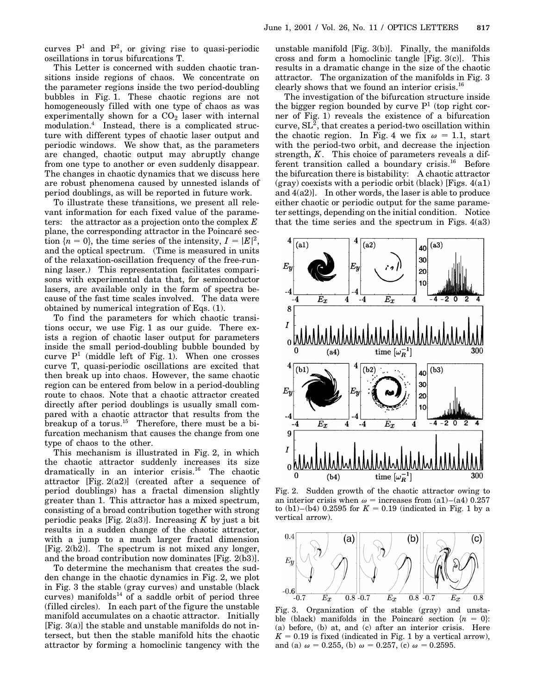curves  $P<sup>1</sup>$  and  $P<sup>2</sup>$ , or giving rise to quasi-periodic oscillations in torus bifurcations T.

This Letter is concerned with sudden chaotic transitions inside regions of chaos. We concentrate on the parameter regions inside the two period-doubling bubbles in Fig. 1. These chaotic regions are not homogeneously filled with one type of chaos as was experimentally shown for a  $CO<sub>2</sub>$  laser with internal modulation.4 Instead, there is a complicated structure with different types of chaotic laser output and periodic windows. We show that, as the parameters are changed, chaotic output may abruptly change from one type to another or even suddenly disappear. The changes in chaotic dynamics that we discuss here are robust phenomena caused by unnested islands of period doublings, as will be reported in future work.

To illustrate these transitions, we present all relevant information for each fixed value of the parameters: the attractor as a projection onto the complex *E* plane, the corresponding attractor in the Poincaré section  $\{n = 0\}$ , the time series of the intensity,  $I = |E|^2$ , and the optical spectrum. (Time is measured in units of the relaxation-oscillation frequency of the free-running laser.) This representation facilitates comparisons with experimental data that, for semiconductor lasers, are available only in the form of spectra because of the fast time scales involved. The data were obtained by numerical integration of Eqs. (1).

To find the parameters for which chaotic transitions occur, we use Fig. 1 as our guide. There exists a region of chaotic laser output for parameters inside the small period-doubling bubble bounded by curve  $P<sup>1</sup>$  (middle left of Fig. 1). When one crosses curve T, quasi-periodic oscillations are excited that then break up into chaos. However, the same chaotic region can be entered from below in a period-doubling route to chaos. Note that a chaotic attractor created directly after period doublings is usually small compared with a chaotic attractor that results from the breakup of a torus.<sup>15</sup> Therefore, there must be a bifurcation mechanism that causes the change from one type of chaos to the other.

This mechanism is illustrated in Fig. 2, in which the chaotic attractor suddenly increases its size dramatically in an interior crisis.<sup>16</sup> The chaotic attractor [Fig. 2(a2)] (created after a sequence of period doublings) has a fractal dimension slightly greater than 1. This attractor has a mixed spectrum, consisting of a broad contribution together with strong periodic peaks [Fig. 2(a3)]. Increasing *K* by just a bit results in a sudden change of the chaotic attractor, with a jump to a much larger fractal dimension [Fig. 2(b2)]. The spectrum is not mixed any longer, and the broad contribution now dominates [Fig. 2(b3)].

To determine the mechanism that creates the sudden change in the chaotic dynamics in Fig. 2, we plot in Fig. 3 the stable (gray curves) and unstable (black curves) manifolds<sup>14</sup> of a saddle orbit of period three (filled circles). In each part of the figure the unstable manifold accumulates on a chaotic attractor. Initially [Fig. 3(a)] the stable and unstable manifolds do not intersect, but then the stable manifold hits the chaotic attractor by forming a homoclinic tangency with the

unstable manifold [Fig. 3(b)]. Finally, the manifolds cross and form a homoclinic tangle [Fig. 3(c)]. This results in a dramatic change in the size of the chaotic attractor. The organization of the manifolds in Fig. 3 clearly shows that we found an interior crisis.<sup>16</sup>

The investigation of the bifurcation structure inside the bigger region bounded by curve  $P<sup>1</sup>$  (top right corner of Fig. 1) reveals the existence of a bifurcation curve,  $SL^2$ , that creates a period-two oscillation within the chaotic region. In Fig. 4 we fix  $\omega = 1.1$ , start with the period-two orbit, and decrease the injection strength, *K*. This choice of parameters reveals a different transition called a boundary crisis.<sup>16</sup> Before the bifurcation there is bistability: A chaotic attractor (gray) coexists with a periodic orbit (black) [Figs. 4(a1) and 4(a2)]. In other words, the laser is able to produce either chaotic or periodic output for the same parameter settings, depending on the initial condition. Notice that the time series and the spectrum in Figs.  $4(a3)$ 



Fig. 2. Sudden growth of the chaotic attractor owing to an interior crisis when  $\omega$  = increases from (a1)–(a4) 0.257  $\frac{\text{to (b1)} - \text{(b4)}}{0.2595}$  for  $K = 0.19$  (indicated in Fig. 1 by a vertical arrow).



Fig. 3. Organization of the stable (gray) and unstable (black) manifolds in the Poincaré section  $\{n = 0\}$ : (a) before, (b) at, and (c) after an interior crisis. Here  $K = 0.19$  is fixed (indicated in Fig. 1 by a vertical arrow), and (a)  $\omega = 0.255$ , (b)  $\omega = 0.257$ , (c)  $\omega = 0.2595$ .